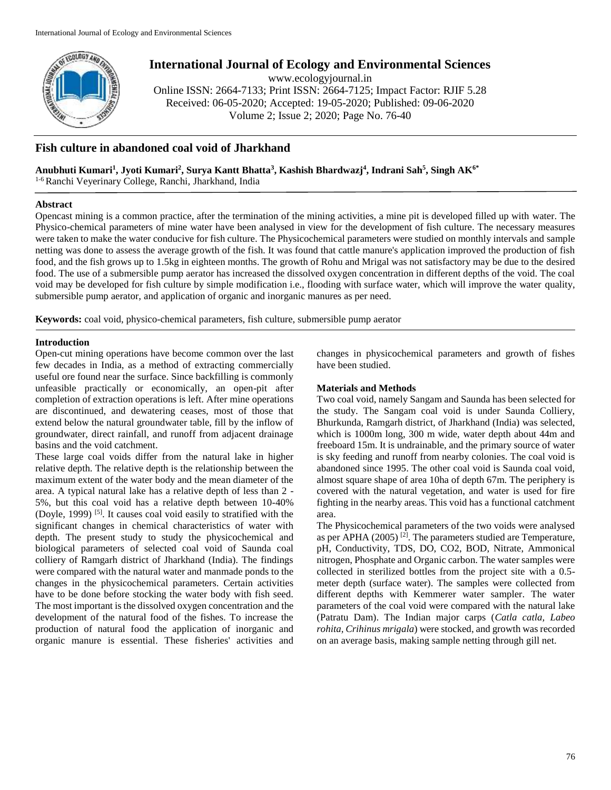

# **International Journal of Ecology and Environmental Sciences**

www.ecologyjournal.in

Online ISSN: 2664-7133; Print ISSN: 2664-7125; Impact Factor: RJIF 5.28 Received: 06-05-2020; Accepted: 19-05-2020; Published: 09-06-2020 Volume 2; Issue 2; 2020; Page No. 76-40

# **Fish culture in abandoned coal void of Jharkhand**

**Anubhuti Kumari<sup>1</sup> , Jyoti Kumari<sup>2</sup> , Surya Kantt Bhatta<sup>3</sup> , Kashish Bhardwazj<sup>4</sup> , Indrani Sah<sup>5</sup> , Singh AK6\***

1-6 Ranchi Veyerinary College, Ranchi, Jharkhand, India

# **Abstract**

Opencast mining is a common practice, after the termination of the mining activities, a mine pit is developed filled up with water. The Physico-chemical parameters of mine water have been analysed in view for the development of fish culture. The necessary measures were taken to make the water conducive for fish culture. The Physicochemical parameters were studied on monthly intervals and sample netting was done to assess the average growth of the fish. It was found that cattle manure's application improved the production of fish food, and the fish grows up to 1.5kg in eighteen months. The growth of Rohu and Mrigal was not satisfactory may be due to the desired food. The use of a submersible pump aerator has increased the dissolved oxygen concentration in different depths of the void. The coal void may be developed for fish culture by simple modification i.e., flooding with surface water, which will improve the water quality, submersible pump aerator, and application of organic and inorganic manures as per need.

**Keywords:** coal void, physico-chemical parameters, fish culture, submersible pump aerator

# **Introduction**

Open-cut mining operations have become common over the last few decades in India, as a method of extracting commercially useful ore found near the surface. Since backfilling is commonly unfeasible practically or economically, an open-pit after completion of extraction operations is left. After mine operations are discontinued, and dewatering ceases, most of those that extend below the natural groundwater table, fill by the inflow of groundwater, direct rainfall, and runoff from adjacent drainage basins and the void catchment.

These large coal voids differ from the natural lake in higher relative depth. The relative depth is the relationship between the maximum extent of the water body and the mean diameter of the area. A typical natural lake has a relative depth of less than 2 - 5%, but this coal void has a relative depth between 10-40% (Doyle, 1999)<sup>[5]</sup>. It causes coal void easily to stratified with the significant changes in chemical characteristics of water with depth. The present study to study the physicochemical and biological parameters of selected coal void of Saunda coal colliery of Ramgarh district of Jharkhand (India). The findings were compared with the natural water and manmade ponds to the changes in the physicochemical parameters. Certain activities have to be done before stocking the water body with fish seed. The most important is the dissolved oxygen concentration and the development of the natural food of the fishes. To increase the production of natural food the application of inorganic and organic manure is essential. These fisheries' activities and changes in physicochemical parameters and growth of fishes have been studied.

# **Materials and Methods**

Two coal void, namely Sangam and Saunda has been selected for the study. The Sangam coal void is under Saunda Colliery, Bhurkunda, Ramgarh district, of Jharkhand (India) was selected, which is 1000m long, 300 m wide, water depth about 44m and freeboard 15m. It is undrainable, and the primary source of water is sky feeding and runoff from nearby colonies. The coal void is abandoned since 1995. The other coal void is Saunda coal void, almost square shape of area 10ha of depth 67m. The periphery is covered with the natural vegetation, and water is used for fire fighting in the nearby areas. This void has a functional catchment area.

The Physicochemical parameters of the two voids were analysed as per APHA  $(2005)$ <sup>[2]</sup>. The parameters studied are Temperature, pH, Conductivity, TDS, DO, CO2, BOD, Nitrate, Ammonical nitrogen, Phosphate and Organic carbon. The water samples were collected in sterilized bottles from the project site with a 0.5 meter depth (surface water). The samples were collected from different depths with Kemmerer water sampler. The water parameters of the coal void were compared with the natural lake (Patratu Dam). The Indian major carps (*Catla catla, Labeo rohita, Crihinus mrigala*) were stocked, and growth was recorded on an average basis, making sample netting through gill net.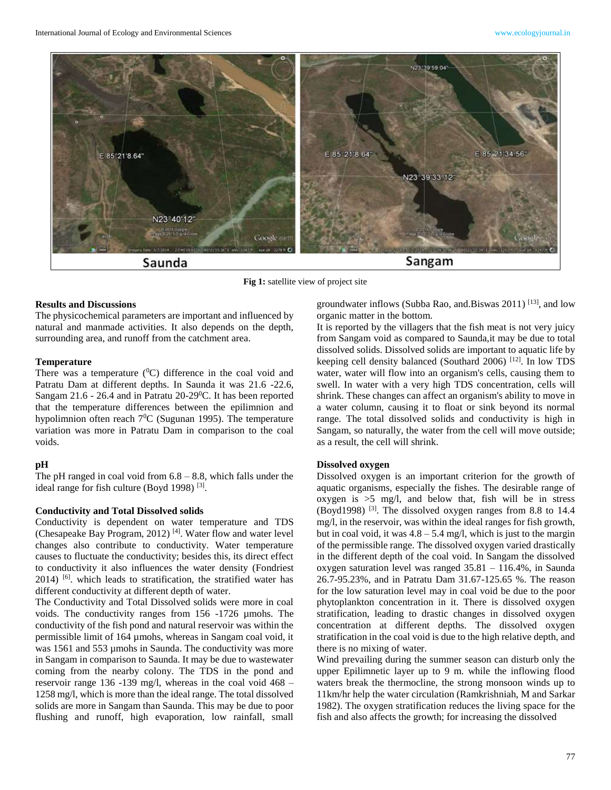

**Fig 1:** satellite view of project site

# **Results and Discussions**

The physicochemical parameters are important and influenced by natural and manmade activities. It also depends on the depth, surrounding area, and runoff from the catchment area.

#### **Temperature**

There was a temperature  $(^{0}C)$  difference in the coal void and Patratu Dam at different depths. In Saunda it was 21.6 -22.6, Sangam 21.6 - 26.4 and in Patratu 20-29<sup>0</sup>C. It has been reported that the temperature differences between the epilimnion and hypolimnion often reach  $7^0C$  (Sugunan 1995). The temperature variation was more in Patratu Dam in comparison to the coal voids.

#### **pH**

The pH ranged in coal void from  $6.8 - 8.8$ , which falls under the ideal range for fish culture (Boyd 1998)<sup>[3]</sup>.

#### **Conductivity and Total Dissolved solids**

Conductivity is dependent on water temperature and TDS (Chesapeake Bay Program, 2012)<sup>[4]</sup>. Water flow and water level changes also contribute to conductivity. Water temperature causes to fluctuate the conductivity; besides this, its direct effect to conductivity it also influences the water density (Fondriest 2014) [6] . which leads to stratification, the stratified water has different conductivity at different depth of water.

The Conductivity and Total Dissolved solids were more in coal voids. The conductivity ranges from 156 -1726 µmohs. The conductivity of the fish pond and natural reservoir was within the permissible limit of 164 µmohs, whereas in Sangam coal void, it was 1561 and 553 µmohs in Saunda. The conductivity was more in Sangam in comparison to Saunda. It may be due to wastewater coming from the nearby colony. The TDS in the pond and reservoir range 136 -139 mg/l, whereas in the coal void 468 – 1258 mg/l, which is more than the ideal range. The total dissolved solids are more in Sangam than Saunda. This may be due to poor flushing and runoff, high evaporation, low rainfall, small

groundwater inflows (Subba Rao, and Biswas 2011)<sup>[13]</sup>, and low organic matter in the bottom.

It is reported by the villagers that the fish meat is not very juicy from Sangam void as compared to Saunda,it may be due to total dissolved solids. Dissolved solids are important to aquatic life by keeping cell density balanced (Southard 2006)<sup>[12]</sup>. In low TDS water, water will flow into an organism's cells, causing them to swell. In water with a very high TDS concentration, cells will shrink. These changes can affect an organism's ability to move in a water column, causing it to float or sink beyond its normal range. The total dissolved solids and conductivity is high in Sangam, so naturally, the water from the cell will move outside; as a result, the cell will shrink.

### **Dissolved oxygen**

Dissolved oxygen is an important criterion for the growth of aquatic organisms, especially the fishes. The desirable range of oxygen is  $>5$  mg/l, and below that, fish will be in stress (Boyd1998)<sup>[3]</sup>. The dissolved oxygen ranges from 8.8 to 14.4 mg/l, in the reservoir, was within the ideal ranges for fish growth, but in coal void, it was  $4.8 - 5.4$  mg/l, which is just to the margin of the permissible range. The dissolved oxygen varied drastically in the different depth of the coal void. In Sangam the dissolved oxygen saturation level was ranged 35.81 – 116.4%, in Saunda 26.7-95.23%, and in Patratu Dam 31.67-125.65 %. The reason for the low saturation level may in coal void be due to the poor phytoplankton concentration in it. There is dissolved oxygen stratification, leading to drastic changes in dissolved oxygen concentration at different depths. The dissolved oxygen stratification in the coal void is due to the high relative depth, and there is no mixing of water.

Wind prevailing during the summer season can disturb only the upper Epilimnetic layer up to 9 m. while the inflowing flood waters break the thermocline, the strong monsoon winds up to 11km/hr help the water circulation (Ramkrishniah, M and Sarkar 1982). The oxygen stratification reduces the living space for the fish and also affects the growth; for increasing the dissolved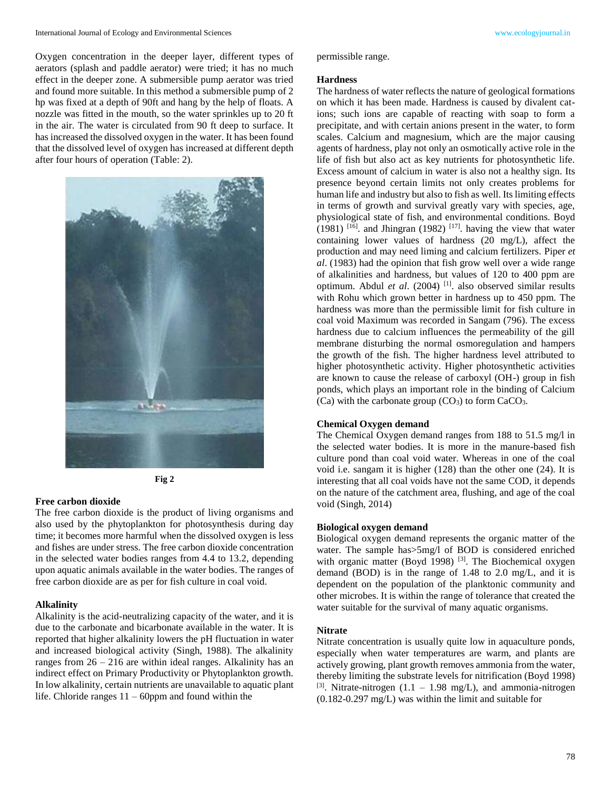Oxygen concentration in the deeper layer, different types of aerators (splash and paddle aerator) were tried; it has no much effect in the deeper zone. A submersible pump aerator was tried and found more suitable. In this method a submersible pump of 2 hp was fixed at a depth of 90ft and hang by the help of floats. A nozzle was fitted in the mouth, so the water sprinkles up to 20 ft in the air. The water is circulated from 90 ft deep to surface. It has increased the dissolved oxygen in the water. It has been found that the dissolved level of oxygen has increased at different depth after four hours of operation (Table: 2).





#### **Free carbon dioxide**

The free carbon dioxide is the product of living organisms and also used by the phytoplankton for photosynthesis during day time; it becomes more harmful when the dissolved oxygen is less and fishes are under stress. The free carbon dioxide concentration in the selected water bodies ranges from 4.4 to 13.2, depending upon aquatic animals available in the water bodies. The ranges of free carbon dioxide are as per for fish culture in coal void.

#### **Alkalinity**

Alkalinity is the acid-neutralizing capacity of the water, and it is due to the carbonate and bicarbonate available in the water. It is reported that higher alkalinity lowers the pH fluctuation in water and increased biological activity (Singh, 1988). The alkalinity ranges from  $26 - 216$  are within ideal ranges. Alkalinity has an indirect effect on Primary Productivity or Phytoplankton growth. In low alkalinity, certain nutrients are unavailable to aquatic plant life. Chloride ranges  $11 - 60$ ppm and found within the

permissible range.

#### **Hardness**

The hardness of water reflects the nature of geological formations on which it has been made. Hardness is caused by divalent cations; such ions are capable of reacting with soap to form a precipitate, and with certain anions present in the water, to form scales. Calcium and magnesium, which are the major causing agents of hardness, play not only an osmotically active role in the life of fish but also act as key nutrients for photosynthetic life. Excess amount of calcium in water is also not a healthy sign. Its presence beyond certain limits not only creates problems for human life and industry but also to fish as well. Its limiting effects in terms of growth and survival greatly vary with species, age, physiological state of fish, and environmental conditions. Boyd  $(1981)$  <sup>[16]</sup>. and Jhingran  $(1982)$  <sup>[17]</sup>. having the view that water containing lower values of hardness (20 mg/L), affect the production and may need liming and calcium fertilizers. Piper *et al*. (1983) had the opinion that fish grow well over a wide range of alkalinities and hardness, but values of 120 to 400 ppm are optimum. Abdul *et al.* (2004)<sup>[1]</sup>. also observed similar results with Rohu which grown better in hardness up to 450 ppm. The hardness was more than the permissible limit for fish culture in coal void Maximum was recorded in Sangam (796). The excess hardness due to calcium influences the permeability of the gill membrane disturbing the normal osmoregulation and hampers the growth of the fish. The higher hardness level attributed to higher photosynthetic activity. Higher photosynthetic activities are known to cause the release of carboxyl (OH-) group in fish ponds, which plays an important role in the binding of Calcium (Ca) with the carbonate group  $(CO_3)$  to form  $CaCO_3$ .

#### **Chemical Oxygen demand**

The Chemical Oxygen demand ranges from 188 to 51.5 mg/l in the selected water bodies. It is more in the manure-based fish culture pond than coal void water. Whereas in one of the coal void i.e. sangam it is higher (128) than the other one (24). It is interesting that all coal voids have not the same COD, it depends on the nature of the catchment area, flushing, and age of the coal void (Singh, 2014)

# **Biological oxygen demand**

Biological oxygen demand represents the organic matter of the water. The sample has  $>5$ mg/l of BOD is considered enriched with organic matter (Boyd 1998)<sup>[3]</sup>. The Biochemical oxygen demand (BOD) is in the range of 1.48 to 2.0 mg/L, and it is dependent on the population of the planktonic community and other microbes. It is within the range of tolerance that created the water suitable for the survival of many aquatic organisms.

## **Nitrate**

Nitrate concentration is usually quite low in aquaculture ponds, especially when water temperatures are warm, and plants are actively growing, plant growth removes ammonia from the water, thereby limiting the substrate levels for nitrification (Boyd 1998) [3]. Nitrate-nitrogen  $(1.1 - 1.98 \text{ mg/L})$ , and ammonia-nitrogen (0.182-0.297 mg/L) was within the limit and suitable for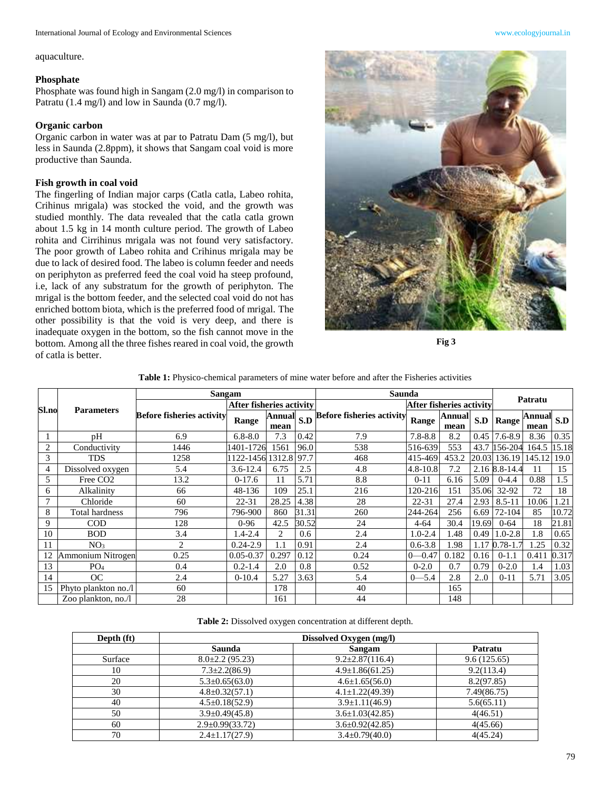aquaculture.

## **Phosphate**

Phosphate was found high in Sangam (2.0 mg/l) in comparison to Patratu (1.4 mg/l) and low in Saunda (0.7 mg/l).

## **Organic carbon**

Organic carbon in water was at par to Patratu Dam (5 mg/l), but less in Saunda (2.8ppm), it shows that Sangam coal void is more productive than Saunda.

# **Fish growth in coal void**

The fingerling of Indian major carps (Catla catla, Labeo rohita, Crihinus mrigala) was stocked the void, and the growth was studied monthly. The data revealed that the catla catla grown about 1.5 kg in 14 month culture period. The growth of Labeo rohita and Cirrihinus mrigala was not found very satisfactory. The poor growth of Labeo rohita and Crihinus mrigala may be due to lack of desired food. The labeo is column feeder and needs on periphyton as preferred feed the coal void ha steep profound, i.e, lack of any substratum for the growth of periphyton. The mrigal is the bottom feeder, and the selected coal void do not has enriched bottom biota, which is the preferred food of mrigal. The other possibility is that the void is very deep, and there is inadequate oxygen in the bottom, so the fish cannot move in the bottom. Among all the three fishes reared in coal void, the growth of catla is better.



**Fig 3**

| <b>Table 1:</b> Physico-chemical parameters of mine water before and after the Fisheries activities |  |  |  |
|-----------------------------------------------------------------------------------------------------|--|--|--|
|-----------------------------------------------------------------------------------------------------|--|--|--|

|                            |                          | Sangam                           |                          |                                                     |       | Saunda                           |              |                       |       |               |                |       |
|----------------------------|--------------------------|----------------------------------|--------------------------|-----------------------------------------------------|-------|----------------------------------|--------------|-----------------------|-------|---------------|----------------|-------|
| Sl.no<br><b>Parameters</b> | After fisheries activity |                                  | After fisheries activity |                                                     |       | Patratu                          |              |                       |       |               |                |       |
|                            |                          | <b>Before fisheries activity</b> | Range                    | $\overline{\text{Annual}}$ S.D <sup>"</sup><br>mean |       | <b>Before fisheries activity</b> | Range        | <b>Annual</b><br>mean | S.D   | Range         | Annual<br>mean | S.D   |
|                            | pH                       | 6.9                              | $6.8 - 8.0$              | 7.3                                                 | 0.42  | 7.9                              | $7.8 - 8.8$  | 8.2                   | 0.45  | $7.6 - 8.9$   | 8.36           | 0.35  |
| $\overline{2}$             | Conductivity             | 1446                             | 1401-1726                | 1561                                                | 96.0  | 538                              | 516-639      | 553                   |       | 43.7 156-204  | 164.5          | 15.18 |
| 3                          | TDS                      | 1258                             | 122-1456                 | 1312.8                                              | 97.7  | 468                              | 415-469      | 453.2                 |       | 20.03 136.19  | 145.12         | 19.0  |
| 4                          | Dissolved oxygen         | 5.4                              | $3.6 - 12.4$             | 6.75                                                | 2.5   | 4.8                              | $4.8 - 10.8$ | 7.2                   |       | 2.16 8.8-14.4 | 11             | 15    |
| 5                          | Free CO <sub>2</sub>     | 13.2                             | $0-17.6$                 | 11                                                  | 5.71  | 8.8                              | $0 - 11$     | 6.16                  | 5.09  | $0 - 4.4$     | 0.88           | 1.5   |
| 6                          | Alkalinity               | 66                               | 48-136                   | 109                                                 | 25.1  | 216                              | 120-216      | 151                   | 35.06 | 32-92         | 72             | 18    |
|                            | Chloride                 | 60                               | $22 - 31$                | 28.25                                               | 4.38  | 28                               | $22 - 31$    | 27.4                  | 2.93  | $8.5 - 11$    | 10.06          | 1.21  |
| 8                          | Total hardness           | 796                              | 796-900                  | 860                                                 | 31.31 | 260                              | 244-264      | 256                   | 6.69  | 72-104        | 85             | 10.72 |
| 9                          | <b>COD</b>               | 128                              | $0 - 96$                 | 42.5                                                | 30.52 | 24                               | $4 - 64$     | 30.4                  | 19.69 | $0 - 64$      | 18             | 21.81 |
| 10                         | <b>BOD</b>               | 3.4                              | $1.4 - 2.4$              | $\overline{2}$                                      | 0.6   | 2.4                              | $1.0 - 2.4$  | 1.48                  | 0.49  | $.0 - 2.8$    | 1.8            | 0.65  |
| 11                         | NO <sub>3</sub>          | $\overline{2}$                   | $0.24 - 2.9$             | 1.1                                                 | 0.91  | 2.4                              | $0.6 - 3.8$  | 1.98                  | 1.17  | $0.78 - 1.7$  | 1.25           | 0.32  |
| 12                         | Ammonium Nitrogen        | 0.25                             | $0.05 - 0.37$            | 0.297                                               | 0.12  | 0.24                             | $0 - 0.47$   | 0.182                 | 0.16  | $0-1.1$       | 0.411          | 0.317 |
| 13                         | PO <sub>4</sub>          | 0.4                              | $0.2 - 1.4$              | 2.0                                                 | 0.8   | 0.52                             | $0 - 2.0$    | 0.7                   | 0.79  | $0 - 2.0$     | 1.4            | 1.03  |
| 14                         | OC                       | 2.4                              | $0-10.4$                 | 5.27                                                | 3.63  | 5.4                              | $0 - 5.4$    | 2.8                   | 2.0   | $0 - 11$      | 5.71           | 3.05  |
| 15                         | Phyto plankton no./l     | 60                               |                          | 178                                                 |       | 40                               |              | 165                   |       |               |                |       |
|                            | Zoo plankton, no./l      | 28                               |                          | 161                                                 |       | 44                               |              | 148                   |       |               |                |       |

| Table 2: Dissolved oxygen concentration at different depth. |  |  |
|-------------------------------------------------------------|--|--|
|-------------------------------------------------------------|--|--|

| Depth (ft) | Dissolved Oxygen (mg/l) |                       |             |  |  |
|------------|-------------------------|-----------------------|-------------|--|--|
|            | Saunda                  | Sangam                | Patratu     |  |  |
| Surface    | $8.0\pm2.2$ (95.23)     | $9.2 \pm 2.87(116.4)$ | 9.6(125.65) |  |  |
| 10         | $7.3 \pm 2.2(86.9)$     | $4.9 \pm 1.86(61.25)$ | 9.2(113.4)  |  |  |
| 20         | $5.3 \pm 0.65(63.0)$    | $4.6 \pm 1.65(56.0)$  | 8.2(97.85)  |  |  |
| 30         | $4.8 \pm 0.32(57.1)$    | $4.1 \pm 1.22(49.39)$ | 7.49(86.75) |  |  |
| 40         | $4.5 \pm 0.18(52.9)$    | $3.9 \pm 1.11(46.9)$  | 5.6(65.11)  |  |  |
| 50         | $3.9 \pm 0.49(45.8)$    | $3.6 \pm 1.03(42.85)$ | 4(46.51)    |  |  |
| 60         | $2.9 \pm 0.99(33.72)$   | $3.6 \pm 0.92(42.85)$ | 4(45.66)    |  |  |
| 70         | $2.4 \pm 1.17(27.9)$    | $3.4 \pm 0.79(40.0)$  | 4(45.24)    |  |  |